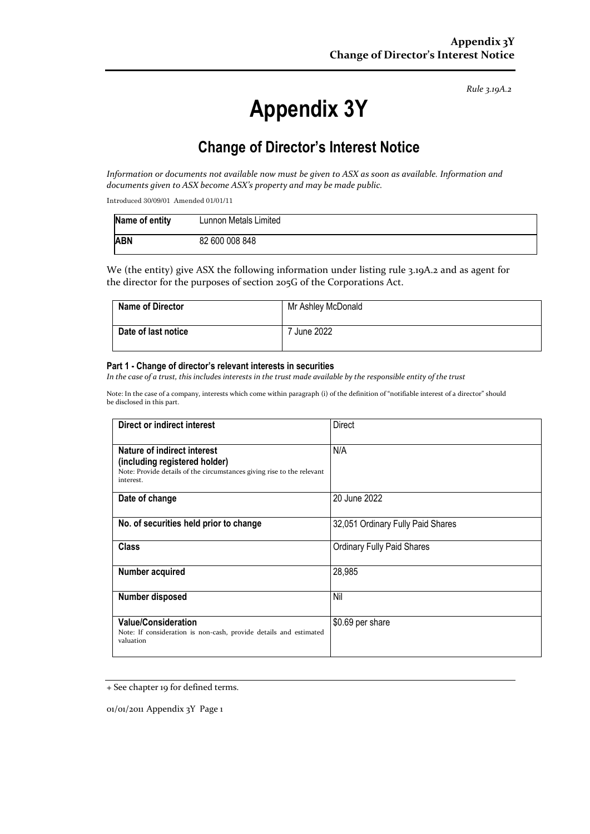*Rule 3.19A.2*

# **Appendix 3Y**

# **Change of Director's Interest Notice**

*Information or documents not available now must be given to ASX as soon as available. Information and documents given to ASX become ASX's property and may be made public.*

Introduced 30/09/01 Amended 01/01/11

| Name of entity | Lunnon Metals Limited |
|----------------|-----------------------|
| <b>ABN</b>     | 82 600 008 848        |

We (the entity) give ASX the following information under listing rule 3.19A.2 and as agent for the director for the purposes of section 205G of the Corporations Act.

| <b>Name of Director</b> | Mr Ashley McDonald |
|-------------------------|--------------------|
| Date of last notice     | June 2022          |

#### **Part 1 - Change of director's relevant interests in securities**

In the case of a trust, this includes interests in the trust made available by the responsible entity of the trust

Note: In the case of a company, interests which come within paragraph (i) of the definition of "notifiable interest of a director" should be disclosed in this part.

| Direct or indirect interest                                                                                                                         | Direct                            |
|-----------------------------------------------------------------------------------------------------------------------------------------------------|-----------------------------------|
| Nature of indirect interest<br>(including registered holder)<br>Note: Provide details of the circumstances giving rise to the relevant<br>interest. | N/A                               |
| Date of change                                                                                                                                      | 20 June 2022                      |
| No. of securities held prior to change                                                                                                              | 32,051 Ordinary Fully Paid Shares |
| <b>Class</b>                                                                                                                                        | <b>Ordinary Fully Paid Shares</b> |
| Number acquired                                                                                                                                     | 28,985                            |
| Number disposed                                                                                                                                     | Nil                               |
| <b>Value/Consideration</b><br>Note: If consideration is non-cash, provide details and estimated<br>valuation                                        | \$0.69 per share                  |

<sup>+</sup> See chapter 19 for defined terms.

01/01/2011 Appendix 3Y Page 1